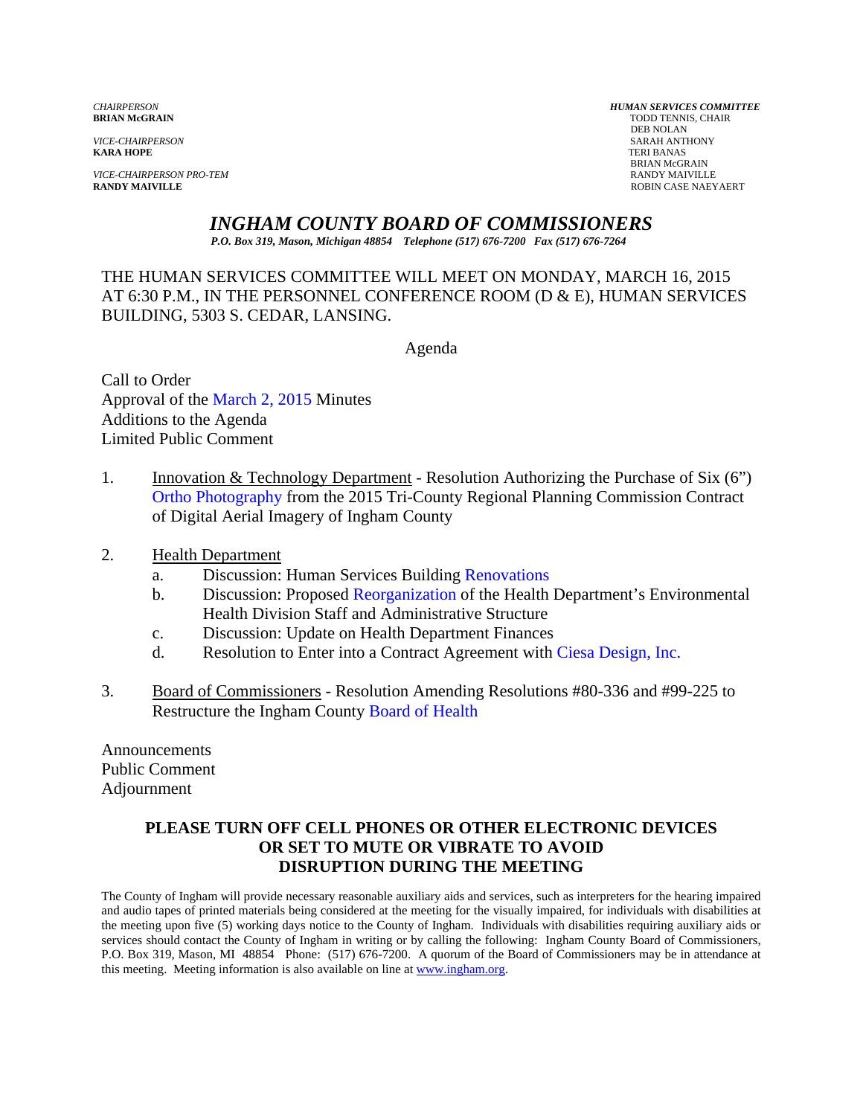**KARA HOPE** TERI BANAS

*VICE-CHAIRPERSON PRO-TEM* RANDY MAIVILLE

*CHAIRPERSON HUMAN SERVICES COMMITTEE* TODD TENNIS, CHAIR<br>DEB NOLAN DEB NOLAN *VICE-CHAIRPERSON* SARAH ANTHONY BRIAN McGRAIN ROBIN CASE NAEYAERT

## *INGHAM COUNTY BOARD OF COMMISSIONERS*

*P.O. Box 319, Mason, Michigan 48854 Telephone (517) 676-7200 Fax (517) 676-7264*

THE HUMAN SERVICES COMMITTEE WILL MEET ON MONDAY, MARCH 16, 2015 AT 6:30 P.M., IN THE PERSONNEL CONFERENCE ROOM (D & E), HUMAN SERVICES BUILDING, 5303 S. CEDAR, LANSING.

Agenda

Call to Order Approval [of the March 2, 2015 Minutes](#page-1-0)  Additions to the Agenda Limited Public Comment

- 1. Innovation & Technology Department Resolution Authorizing the Purchase of Six (6") [Ortho Photography from th](#page-7-0)e 2015 Tri-County Regional Planning Commission Contract of Digital Aerial Imagery of Ingham County
- 2. Health Department
	- a. Discussion: Human Services Buildi[ng Renovations](#page-9-0)
	- b. Discussion: Pr[oposed Reorganizatio](#page-11-0)n of the Health Department's Environmental Health Division Staff and Administrative Structure
	- c. Discussion: Update on Health Department Finances
	- d. Resolution to Enter into a Contract Agreement wit[h Ciesa Design, Inc.](#page-16-0)
- 3. Board of Commissione[rs Resolution Amending Resolut](#page-18-0)ions #80-336 and #99-225 to Restructure the Ingham Co[unty Board of Health](#page-16-0)

Announcements Public Comment Adjournment

## **PLEASE TURN OFF CELL PHONES OR OTHER ELECTRONIC DEVICES OR SET TO MUTE OR VIBRATE TO AVOID DISRUPTION DURING THE MEETING**

The County of Ingham will provide necessary reasonable auxiliary aids and services, such as interpreters for the hearing impaired and audio tapes of printed materials being considered at the meeting for the visually impaired, for individuals with disabilities at the meeting upon five (5) working days notice to the County of Ingham. Individuals with disabilities requiring auxiliary aids or services should contact the County of Ingham in writing or by calling the following: Ingham County Board of Commissioners, P.O. Box 319, Mason, MI 48854 Phone: (517) 676-7200. A quorum of the Board of Commissioners may be in attendance at this meeting. Meeting information is also available on line at www.ingham.org.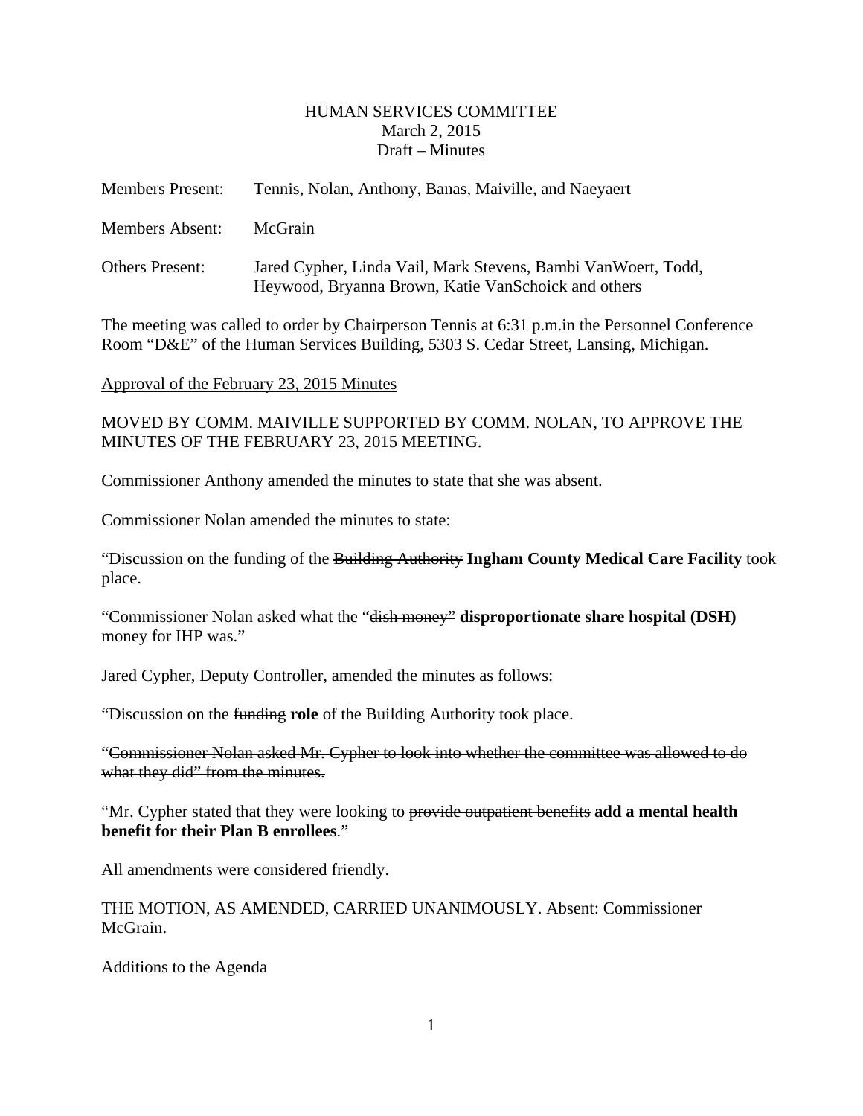## HUMAN SERVICES COMMITTEE March 2, 2015 Draft – Minutes

<span id="page-1-0"></span>

| <b>Members Present:</b> | Tennis, Nolan, Anthony, Banas, Maiville, and Naeyaert                                                                  |
|-------------------------|------------------------------------------------------------------------------------------------------------------------|
| <b>Members Absent:</b>  | <b>McGrain</b>                                                                                                         |
| <b>Others Present:</b>  | Jared Cypher, Linda Vail, Mark Stevens, Bambi Van Woert, Todd,<br>Heywood, Bryanna Brown, Katie Van Schoick and others |

The meeting was called to order by Chairperson Tennis at 6:31 p.m.in the Personnel Conference Room "D&E" of the Human Services Building, 5303 S. Cedar Street, Lansing, Michigan.

Approval of the February 23, 2015 Minutes

MOVED BY COMM. MAIVILLE SUPPORTED BY COMM. NOLAN, TO APPROVE THE MINUTES OF THE FEBRUARY 23, 2015 MEETING.

Commissioner Anthony amended the minutes to state that she was absent.

Commissioner Nolan amended the minutes to state:

"Discussion on the funding of the Building Authority **Ingham County Medical Care Facility** took place.

"Commissioner Nolan asked what the "dish money" **disproportionate share hospital (DSH)** money for IHP was."

Jared Cypher, Deputy Controller, amended the minutes as follows:

"Discussion on the funding **role** of the Building Authority took place.

"Commissioner Nolan asked Mr. Cypher to look into whether the committee was allowed to do what they did" from the minutes.

"Mr. Cypher stated that they were looking to provide outpatient benefits **add a mental health benefit for their Plan B enrollees**."

All amendments were considered friendly.

THE MOTION, AS AMENDED, CARRIED UNANIMOUSLY. Absent: Commissioner McGrain.

Additions to the Agenda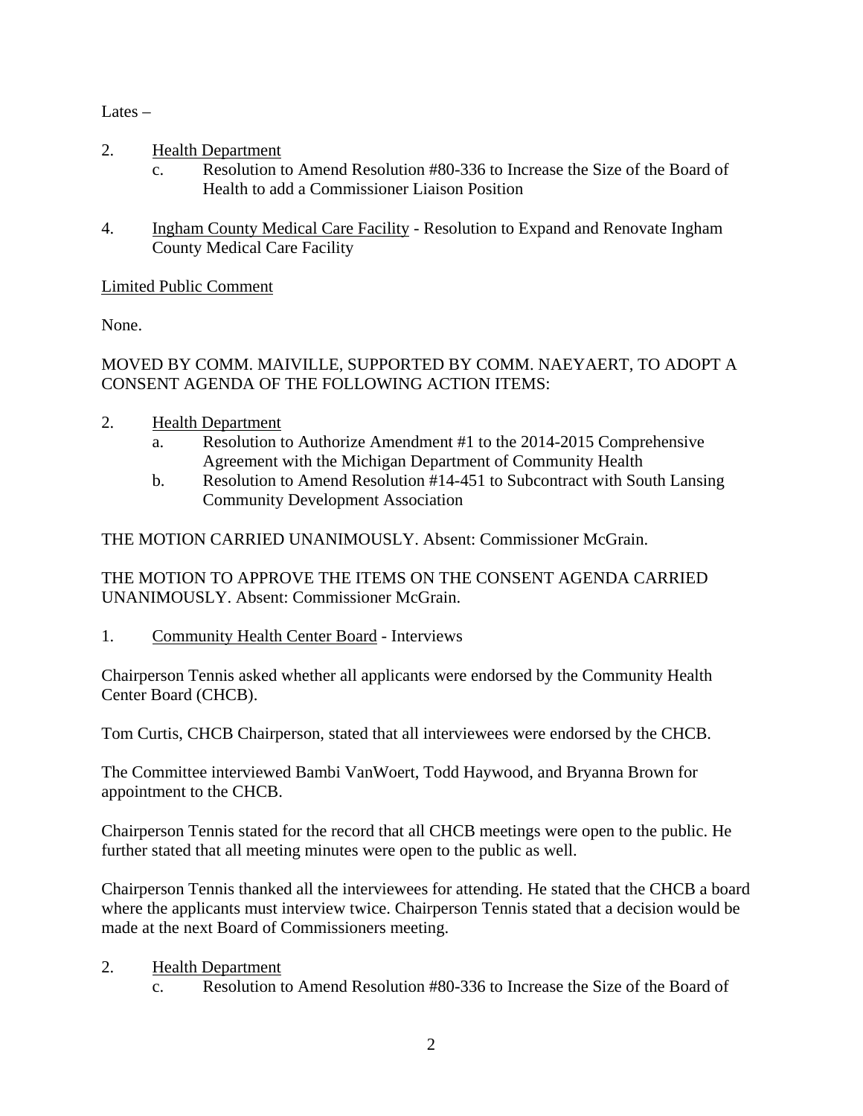Lates –

- 2. Health Department
	- c. Resolution to Amend Resolution #80-336 to Increase the Size of the Board of Health to add a Commissioner Liaison Position
- 4. Ingham County Medical Care Facility Resolution to Expand and Renovate Ingham County Medical Care Facility

# Limited Public Comment

None.

# MOVED BY COMM. MAIVILLE, SUPPORTED BY COMM. NAEYAERT, TO ADOPT A CONSENT AGENDA OF THE FOLLOWING ACTION ITEMS:

- 2. Health Department
	- a. Resolution to Authorize Amendment #1 to the 2014-2015 Comprehensive Agreement with the Michigan Department of Community Health
	- b. Resolution to Amend Resolution #14-451 to Subcontract with South Lansing Community Development Association

THE MOTION CARRIED UNANIMOUSLY. Absent: Commissioner McGrain.

THE MOTION TO APPROVE THE ITEMS ON THE CONSENT AGENDA CARRIED UNANIMOUSLY. Absent: Commissioner McGrain.

1. Community Health Center Board - Interviews

Chairperson Tennis asked whether all applicants were endorsed by the Community Health Center Board (CHCB).

Tom Curtis, CHCB Chairperson, stated that all interviewees were endorsed by the CHCB.

The Committee interviewed Bambi VanWoert, Todd Haywood, and Bryanna Brown for appointment to the CHCB.

Chairperson Tennis stated for the record that all CHCB meetings were open to the public. He further stated that all meeting minutes were open to the public as well.

Chairperson Tennis thanked all the interviewees for attending. He stated that the CHCB a board where the applicants must interview twice. Chairperson Tennis stated that a decision would be made at the next Board of Commissioners meeting.

## 2. Health Department

c. Resolution to Amend Resolution #80-336 to Increase the Size of the Board of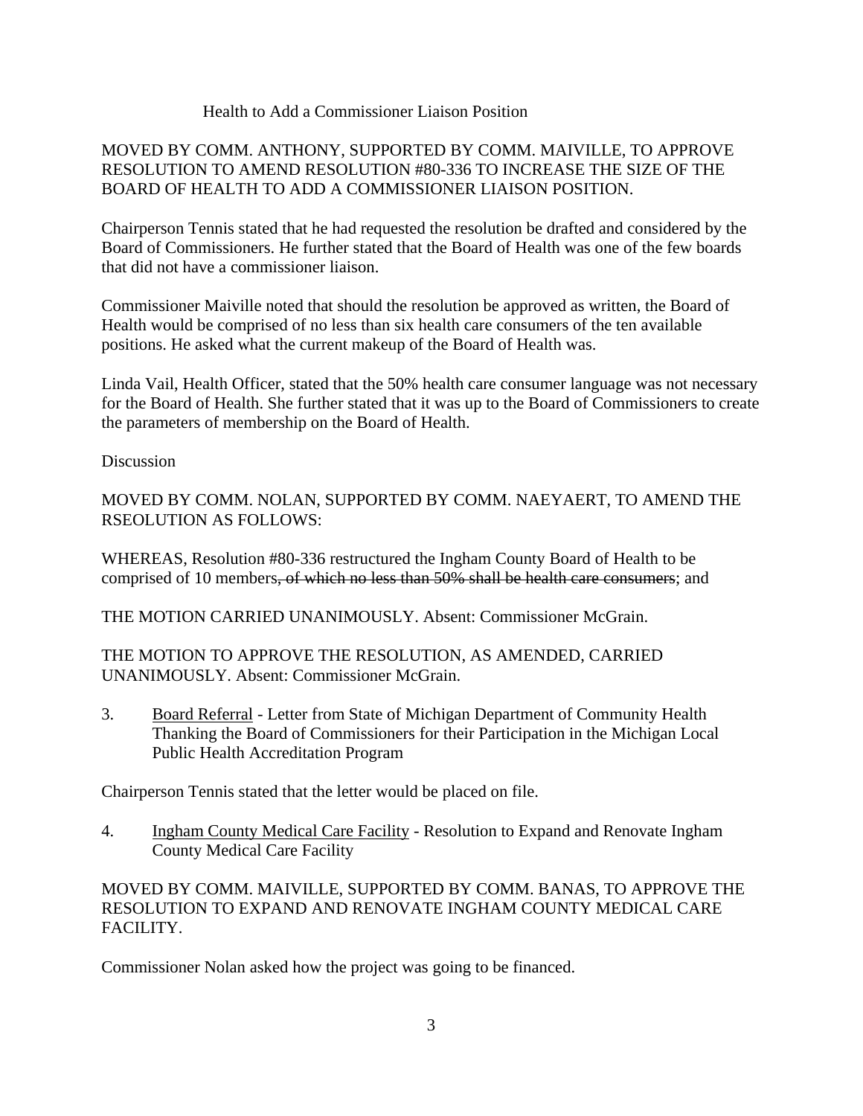### Health to Add a Commissioner Liaison Position

## MOVED BY COMM. ANTHONY, SUPPORTED BY COMM. MAIVILLE, TO APPROVE RESOLUTION TO AMEND RESOLUTION #80-336 TO INCREASE THE SIZE OF THE BOARD OF HEALTH TO ADD A COMMISSIONER LIAISON POSITION.

Chairperson Tennis stated that he had requested the resolution be drafted and considered by the Board of Commissioners. He further stated that the Board of Health was one of the few boards that did not have a commissioner liaison.

Commissioner Maiville noted that should the resolution be approved as written, the Board of Health would be comprised of no less than six health care consumers of the ten available positions. He asked what the current makeup of the Board of Health was.

Linda Vail, Health Officer, stated that the 50% health care consumer language was not necessary for the Board of Health. She further stated that it was up to the Board of Commissioners to create the parameters of membership on the Board of Health.

**Discussion** 

MOVED BY COMM. NOLAN, SUPPORTED BY COMM. NAEYAERT, TO AMEND THE RSEOLUTION AS FOLLOWS:

WHEREAS, Resolution #80-336 restructured the Ingham County Board of Health to be comprised of 10 members, of which no less than 50% shall be health care consumers; and

THE MOTION CARRIED UNANIMOUSLY. Absent: Commissioner McGrain.

THE MOTION TO APPROVE THE RESOLUTION, AS AMENDED, CARRIED UNANIMOUSLY. Absent: Commissioner McGrain.

3. Board Referral - Letter from State of Michigan Department of Community Health Thanking the Board of Commissioners for their Participation in the Michigan Local Public Health Accreditation Program

Chairperson Tennis stated that the letter would be placed on file.

4. Ingham County Medical Care Facility - Resolution to Expand and Renovate Ingham County Medical Care Facility

MOVED BY COMM. MAIVILLE, SUPPORTED BY COMM. BANAS, TO APPROVE THE RESOLUTION TO EXPAND AND RENOVATE INGHAM COUNTY MEDICAL CARE FACILITY.

Commissioner Nolan asked how the project was going to be financed.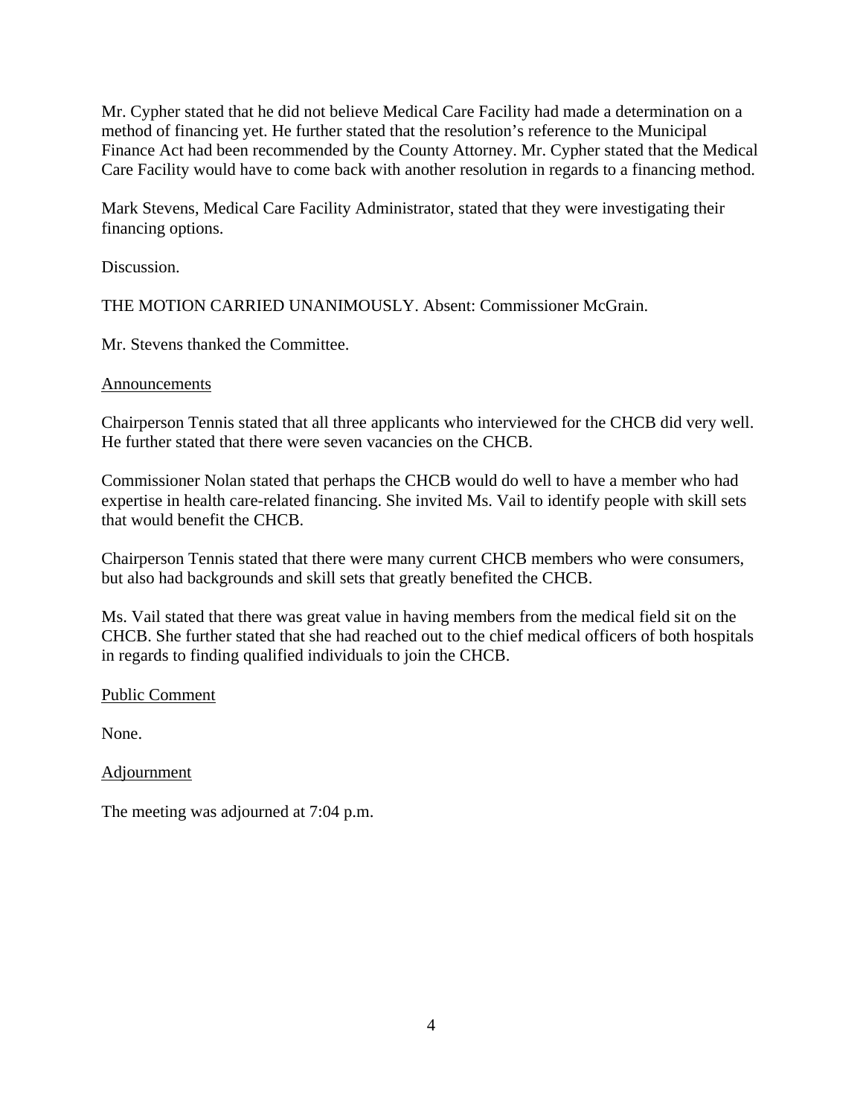Mr. Cypher stated that he did not believe Medical Care Facility had made a determination on a method of financing yet. He further stated that the resolution's reference to the Municipal Finance Act had been recommended by the County Attorney. Mr. Cypher stated that the Medical Care Facility would have to come back with another resolution in regards to a financing method.

Mark Stevens, Medical Care Facility Administrator, stated that they were investigating their financing options.

Discussion.

THE MOTION CARRIED UNANIMOUSLY. Absent: Commissioner McGrain.

Mr. Stevens thanked the Committee.

## Announcements

Chairperson Tennis stated that all three applicants who interviewed for the CHCB did very well. He further stated that there were seven vacancies on the CHCB.

Commissioner Nolan stated that perhaps the CHCB would do well to have a member who had expertise in health care-related financing. She invited Ms. Vail to identify people with skill sets that would benefit the CHCB.

Chairperson Tennis stated that there were many current CHCB members who were consumers, but also had backgrounds and skill sets that greatly benefited the CHCB.

Ms. Vail stated that there was great value in having members from the medical field sit on the CHCB. She further stated that she had reached out to the chief medical officers of both hospitals in regards to finding qualified individuals to join the CHCB.

Public Comment

None.

Adjournment

The meeting was adjourned at 7:04 p.m.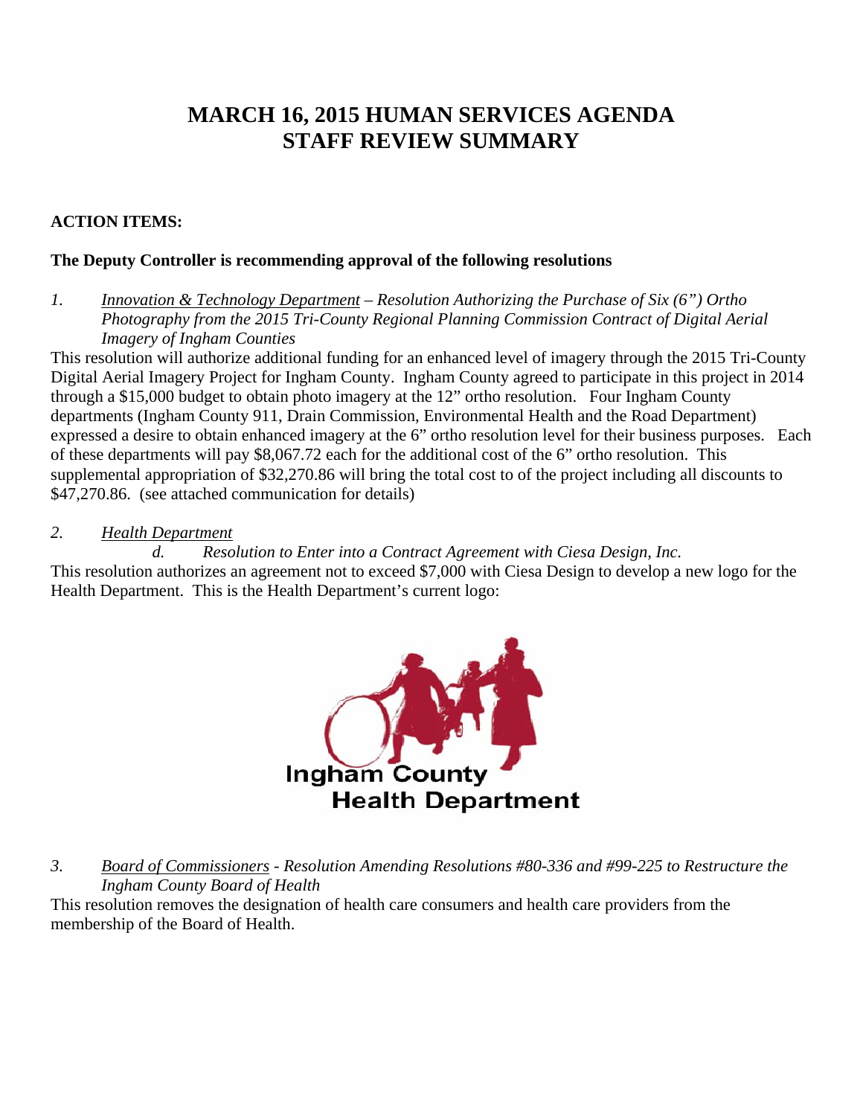# **MARCH 16, 2015 HUMAN SERVICES AGENDA STAFF REVIEW SUMMARY**

# **ACTION ITEMS:**

# **The Deputy Controller is recommending approval of the following resolutions**

*1. Innovation & Technology Department – Resolution Authorizing the Purchase of Six (6") Ortho Photography from the 2015 Tri-County Regional Planning Commission Contract of Digital Aerial Imagery of Ingham Counties* 

This resolution will authorize additional funding for an enhanced level of imagery through the 2015 Tri-County Digital Aerial Imagery Project for Ingham County. Ingham County agreed to participate in this project in 2014 through a \$15,000 budget to obtain photo imagery at the 12" ortho resolution. Four Ingham County departments (Ingham County 911, Drain Commission, Environmental Health and the Road Department) expressed a desire to obtain enhanced imagery at the 6" ortho resolution level for their business purposes. Each of these departments will pay \$8,067.72 each for the additional cost of the 6" ortho resolution. This supplemental appropriation of \$32,270.86 will bring the total cost to of the project including all discounts to \$47,270.86. (see attached communication for details)

## *2. Health Department*

 *d. Resolution to Enter into a Contract Agreement with Ciesa Design, Inc.*  This resolution authorizes an agreement not to exceed \$7,000 with Ciesa Design to develop a new logo for the Health Department. This is the Health Department's current logo:



*3. Board of Commissioners - Resolution Amending Resolutions #80-336 and #99-225 to Restructure the Ingham County Board of Health* 

This resolution removes the designation of health care consumers and health care providers from the membership of the Board of Health.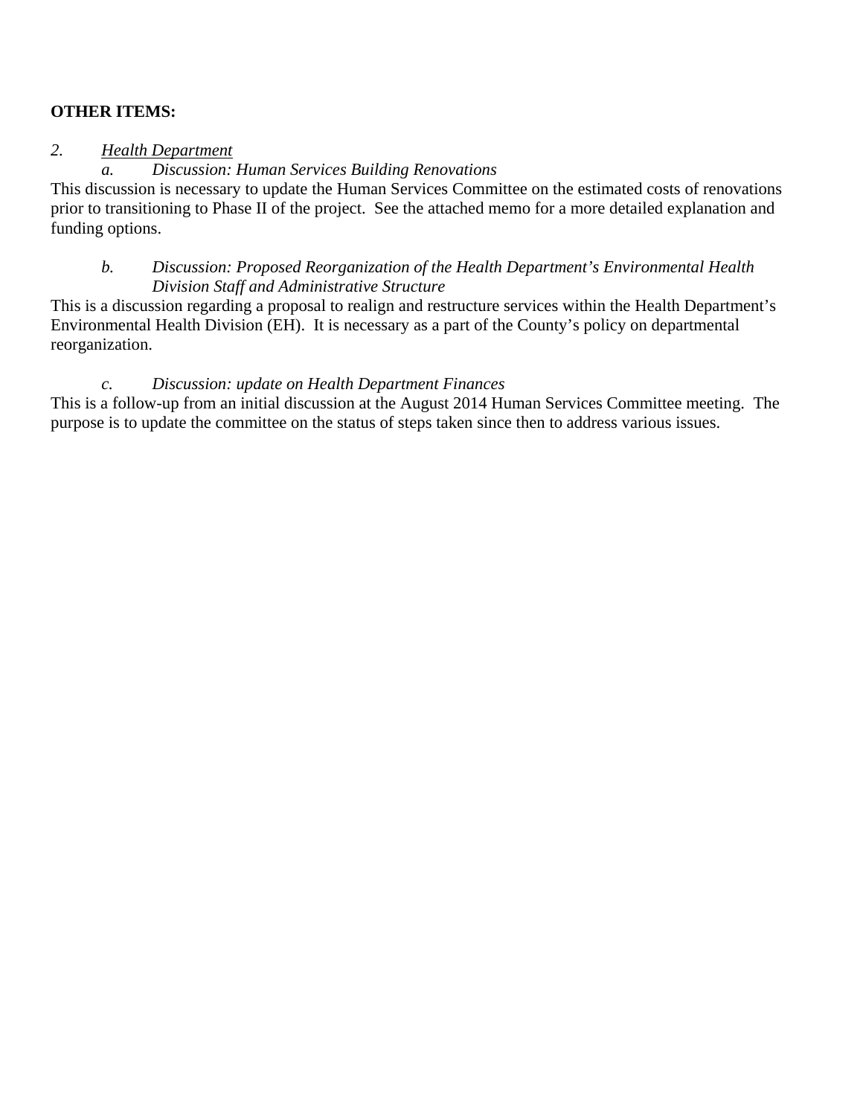## **OTHER ITEMS:**

## *2. Health Department*

# *a. Discussion: Human Services Building Renovations*

This discussion is necessary to update the Human Services Committee on the estimated costs of renovations prior to transitioning to Phase II of the project. See the attached memo for a more detailed explanation and funding options.

## *b. Discussion: Proposed Reorganization of the Health Department's Environmental Health Division Staff and Administrative Structure*

This is a discussion regarding a proposal to realign and restructure services within the Health Department's Environmental Health Division (EH). It is necessary as a part of the County's policy on departmental reorganization.

## *c. Discussion: update on Health Department Finances*

This is a follow-up from an initial discussion at the August 2014 Human Services Committee meeting. The purpose is to update the committee on the status of steps taken since then to address various issues.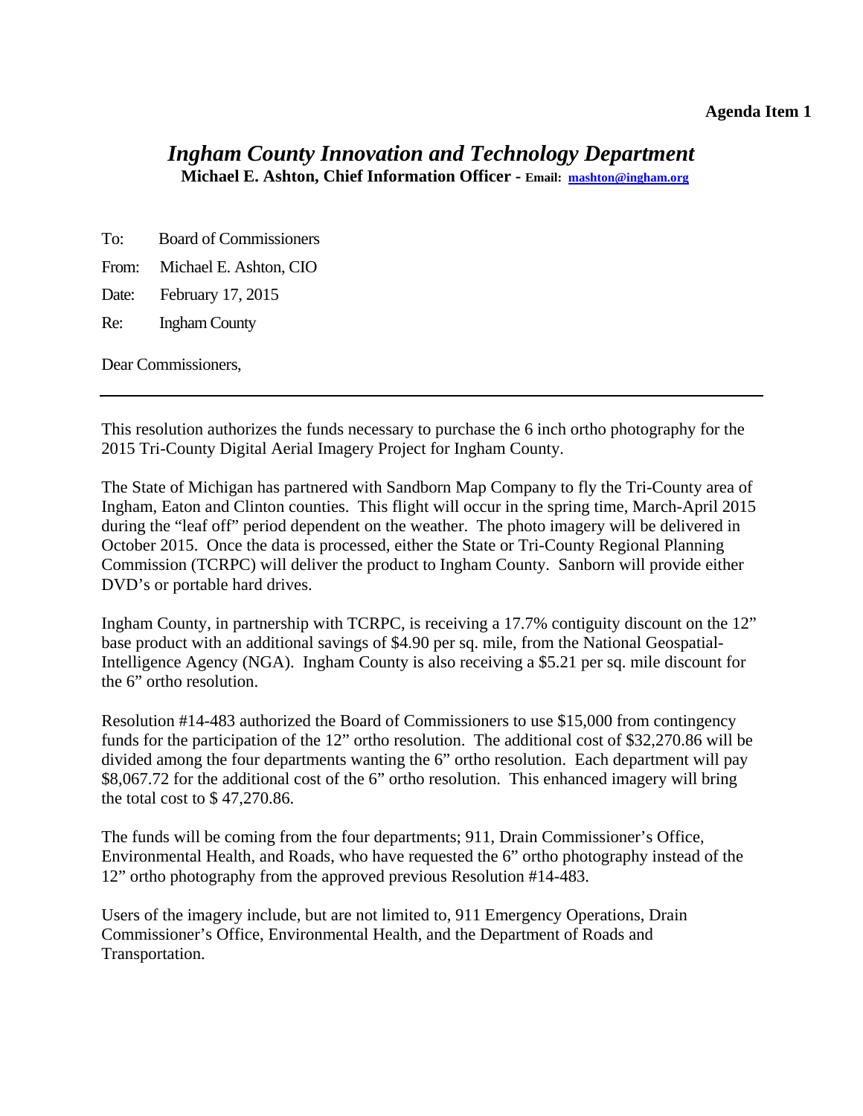## **Agenda Item 1**

# <span id="page-7-0"></span>*Ingham County Innovation and Technology Department* **Michael E. Ashton, Chief Information Officer - Email: mashton@ingham.org**

To: Board of Commissioners

From: Michael E. Ashton, CIO

Date: February 17, 2015

Re: Ingham County

Dear Commissioners,

This resolution authorizes the funds necessary to purchase the 6 inch ortho photography for the 2015 Tri-County Digital Aerial Imagery Project for Ingham County.

The State of Michigan has partnered with Sandborn Map Company to fly the Tri-County area of Ingham, Eaton and Clinton counties. This flight will occur in the spring time, March-April 2015 during the "leaf off" period dependent on the weather. The photo imagery will be delivered in October 2015. Once the data is processed, either the State or Tri-County Regional Planning Commission (TCRPC) will deliver the product to Ingham County. Sanborn will provide either DVD's or portable hard drives.

Ingham County, in partnership with TCRPC, is receiving a 17.7% contiguity discount on the 12" base product with an additional savings of \$4.90 per sq. mile, from the National Geospatial-Intelligence Agency (NGA). Ingham County is also receiving a \$5.21 per sq. mile discount for the 6" ortho resolution.

Resolution #14-483 authorized the Board of Commissioners to use \$15,000 from contingency funds for the participation of the 12" ortho resolution. The additional cost of \$32,270.86 will be divided among the four departments wanting the 6" ortho resolution. Each department will pay \$8,067.72 for the additional cost of the 6" ortho resolution. This enhanced imagery will bring the total cost to \$ 47,270.86.

The funds will be coming from the four departments; 911, Drain Commissioner's Office, Environmental Health, and Roads, who have requested the 6" ortho photography instead of the 12" ortho photography from the approved previous Resolution #14-483.

Users of the imagery include, but are not limited to, 911 Emergency Operations, Drain Commissioner's Office, Environmental Health, and the Department of Roads and Transportation.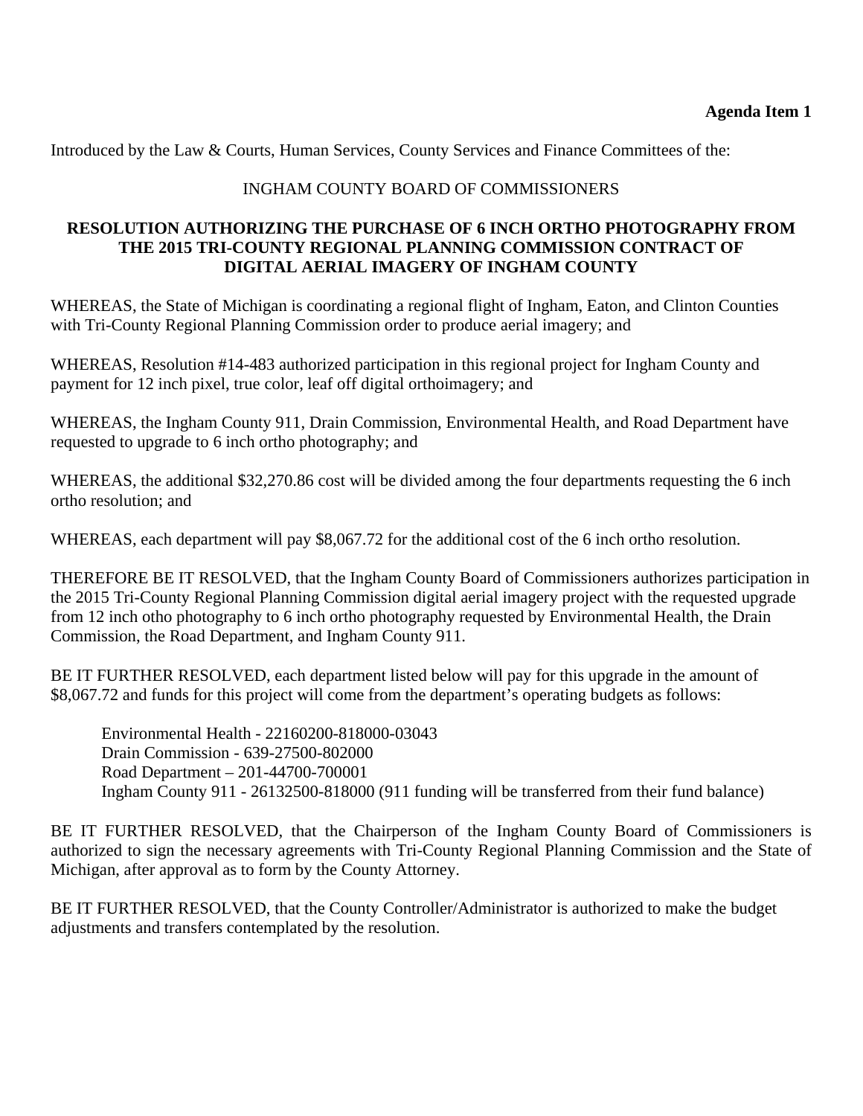Introduced by the Law & Courts, Human Services, County Services and Finance Committees of the:

# INGHAM COUNTY BOARD OF COMMISSIONERS

## **RESOLUTION AUTHORIZING THE PURCHASE OF 6 INCH ORTHO PHOTOGRAPHY FROM THE 2015 TRI-COUNTY REGIONAL PLANNING COMMISSION CONTRACT OF DIGITAL AERIAL IMAGERY OF INGHAM COUNTY**

WHEREAS, the State of Michigan is coordinating a regional flight of Ingham, Eaton, and Clinton Counties with Tri-County Regional Planning Commission order to produce aerial imagery; and

WHEREAS, Resolution #14-483 authorized participation in this regional project for Ingham County and payment for 12 inch pixel, true color, leaf off digital orthoimagery; and

WHEREAS, the Ingham County 911, Drain Commission, Environmental Health, and Road Department have requested to upgrade to 6 inch ortho photography; and

WHEREAS, the additional \$32,270.86 cost will be divided among the four departments requesting the 6 inch ortho resolution; and

WHEREAS, each department will pay \$8,067.72 for the additional cost of the 6 inch ortho resolution.

THEREFORE BE IT RESOLVED, that the Ingham County Board of Commissioners authorizes participation in the 2015 Tri-County Regional Planning Commission digital aerial imagery project with the requested upgrade from 12 inch otho photography to 6 inch ortho photography requested by Environmental Health, the Drain Commission, the Road Department, and Ingham County 911.

BE IT FURTHER RESOLVED, each department listed below will pay for this upgrade in the amount of \$8,067.72 and funds for this project will come from the department's operating budgets as follows:

Environmental Health - 22160200-818000-03043 Drain Commission - 639-27500-802000 Road Department – 201-44700-700001 Ingham County 911 - 26132500-818000 (911 funding will be transferred from their fund balance)

BE IT FURTHER RESOLVED, that the Chairperson of the Ingham County Board of Commissioners is authorized to sign the necessary agreements with Tri-County Regional Planning Commission and the State of Michigan, after approval as to form by the County Attorney.

BE IT FURTHER RESOLVED, that the County Controller/Administrator is authorized to make the budget adjustments and transfers contemplated by the resolution.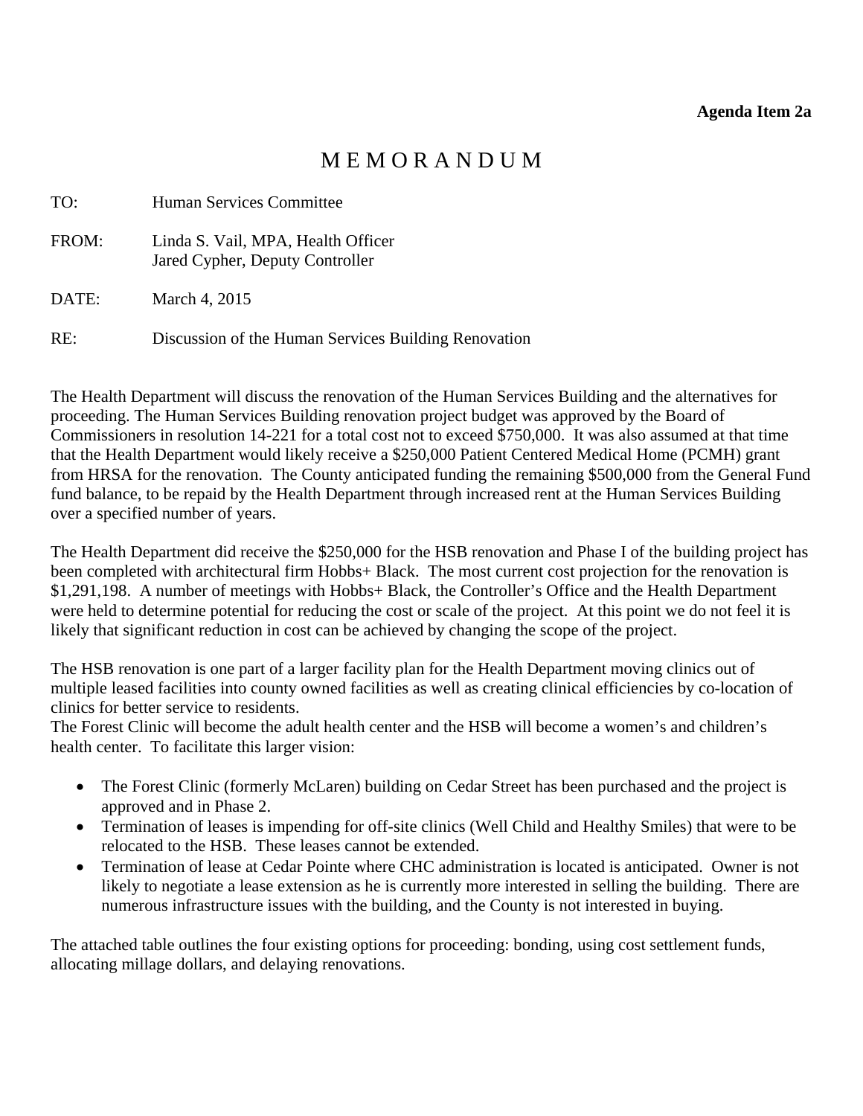# M E M O R A N D U M

<span id="page-9-0"></span>

| TO:   | <b>Human Services Committee</b>                                       |
|-------|-----------------------------------------------------------------------|
| FROM: | Linda S. Vail, MPA, Health Officer<br>Jared Cypher, Deputy Controller |
| DATE: | March 4, 2015                                                         |
| RE:   | Discussion of the Human Services Building Renovation                  |

The Health Department will discuss the renovation of the Human Services Building and the alternatives for proceeding. The Human Services Building renovation project budget was approved by the Board of Commissioners in resolution 14-221 for a total cost not to exceed \$750,000. It was also assumed at that time that the Health Department would likely receive a \$250,000 Patient Centered Medical Home (PCMH) grant from HRSA for the renovation. The County anticipated funding the remaining \$500,000 from the General Fund fund balance, to be repaid by the Health Department through increased rent at the Human Services Building over a specified number of years.

The Health Department did receive the \$250,000 for the HSB renovation and Phase I of the building project has been completed with architectural firm Hobbs+ Black. The most current cost projection for the renovation is \$1,291,198. A number of meetings with Hobbs+ Black, the Controller's Office and the Health Department were held to determine potential for reducing the cost or scale of the project. At this point we do not feel it is likely that significant reduction in cost can be achieved by changing the scope of the project.

The HSB renovation is one part of a larger facility plan for the Health Department moving clinics out of multiple leased facilities into county owned facilities as well as creating clinical efficiencies by co-location of clinics for better service to residents.

The Forest Clinic will become the adult health center and the HSB will become a women's and children's health center. To facilitate this larger vision:

- The Forest Clinic (formerly McLaren) building on Cedar Street has been purchased and the project is approved and in Phase 2.
- Termination of leases is impending for off-site clinics (Well Child and Healthy Smiles) that were to be relocated to the HSB. These leases cannot be extended.
- Termination of lease at Cedar Pointe where CHC administration is located is anticipated. Owner is not likely to negotiate a lease extension as he is currently more interested in selling the building. There are numerous infrastructure issues with the building, and the County is not interested in buying.

The attached table outlines the four existing options for proceeding: bonding, using cost settlement funds, allocating millage dollars, and delaying renovations.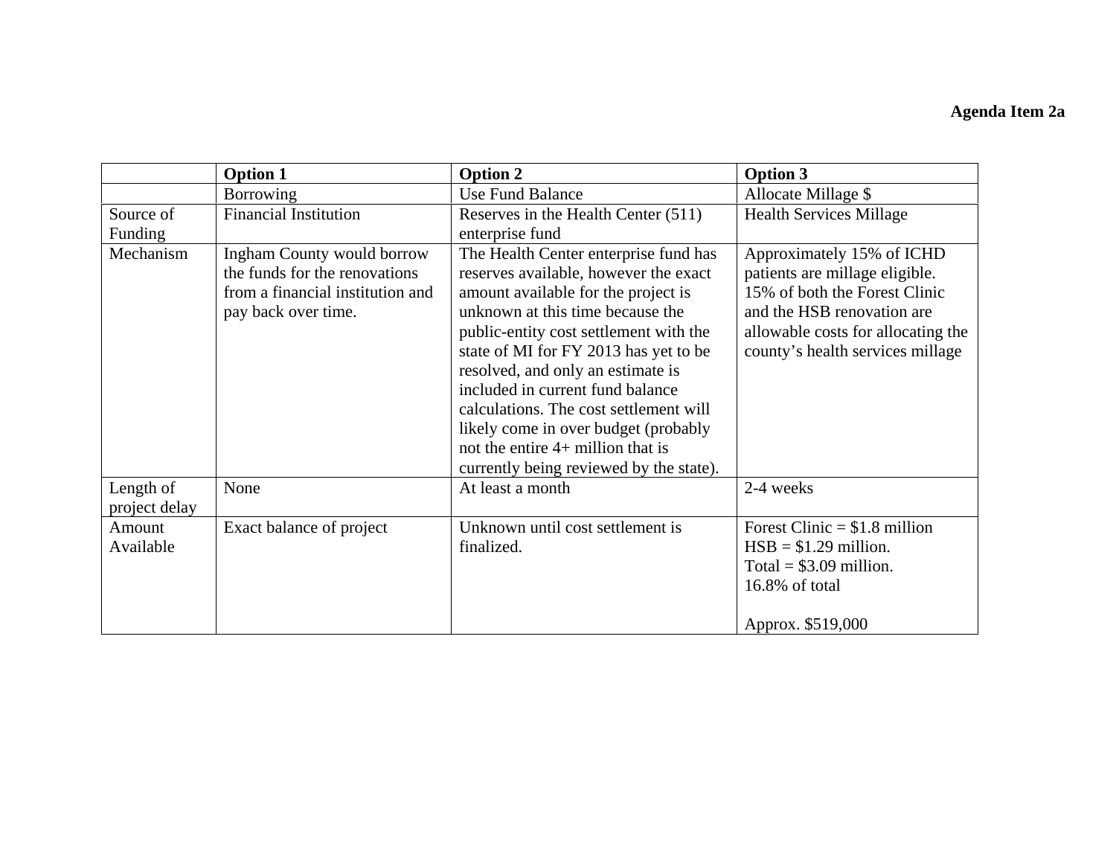|               | <b>Option 1</b>                   | <b>Option 2</b>                         | <b>Option 3</b>                    |
|---------------|-----------------------------------|-----------------------------------------|------------------------------------|
|               | <b>Borrowing</b>                  | <b>Use Fund Balance</b>                 | Allocate Millage \$                |
| Source of     | <b>Financial Institution</b>      | Reserves in the Health Center (511)     | <b>Health Services Millage</b>     |
| Funding       |                                   | enterprise fund                         |                                    |
| Mechanism     | <b>Ingham County would borrow</b> | The Health Center enterprise fund has   | Approximately 15% of ICHD          |
|               | the funds for the renovations     | reserves available, however the exact   | patients are millage eligible.     |
|               | from a financial institution and  | amount available for the project is     | 15% of both the Forest Clinic      |
|               | pay back over time.               | unknown at this time because the        | and the HSB renovation are         |
|               |                                   | public-entity cost settlement with the  | allowable costs for allocating the |
|               |                                   | state of MI for FY 2013 has yet to be   | county's health services millage   |
|               |                                   | resolved, and only an estimate is       |                                    |
|               |                                   | included in current fund balance        |                                    |
|               |                                   | calculations. The cost settlement will  |                                    |
|               |                                   | likely come in over budget (probably    |                                    |
|               |                                   | not the entire $4+$ million that is     |                                    |
|               |                                   | currently being reviewed by the state). |                                    |
| Length of     | None                              | At least a month                        | 2-4 weeks                          |
| project delay |                                   |                                         |                                    |
| Amount        | Exact balance of project          | Unknown until cost settlement is        | Forest Clinic $= $1.8$ million     |
| Available     |                                   | finalized.                              | $HSB = $1.29$ million.             |
|               |                                   |                                         | Total = $$3.09$ million.           |
|               |                                   |                                         | 16.8% of total                     |
|               |                                   |                                         |                                    |
|               |                                   |                                         | Approx. \$519,000                  |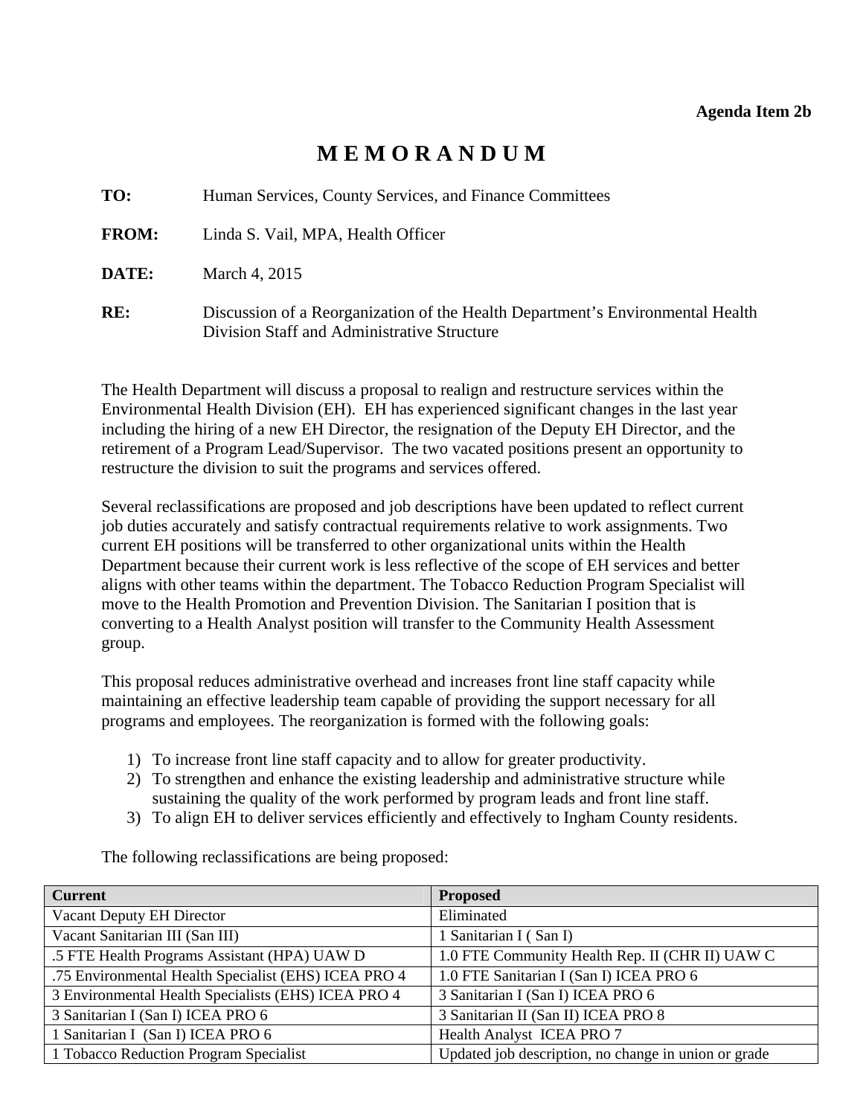## **Agenda Item 2b**

# **M E M O R A N D U M**

<span id="page-11-0"></span>**TO:** Human Services, County Services, and Finance Committees

**FROM:** Linda S. Vail, MPA, Health Officer

**DATE:** March 4, 2015

**RE:** Discussion of a Reorganization of the Health Department's Environmental Health Division Staff and Administrative Structure

The Health Department will discuss a proposal to realign and restructure services within the Environmental Health Division (EH). EH has experienced significant changes in the last year including the hiring of a new EH Director, the resignation of the Deputy EH Director, and the retirement of a Program Lead/Supervisor. The two vacated positions present an opportunity to restructure the division to suit the programs and services offered.

Several reclassifications are proposed and job descriptions have been updated to reflect current job duties accurately and satisfy contractual requirements relative to work assignments. Two current EH positions will be transferred to other organizational units within the Health Department because their current work is less reflective of the scope of EH services and better aligns with other teams within the department. The Tobacco Reduction Program Specialist will move to the Health Promotion and Prevention Division. The Sanitarian I position that is converting to a Health Analyst position will transfer to the Community Health Assessment group.

This proposal reduces administrative overhead and increases front line staff capacity while maintaining an effective leadership team capable of providing the support necessary for all programs and employees. The reorganization is formed with the following goals:

- 1) To increase front line staff capacity and to allow for greater productivity.
- 2) To strengthen and enhance the existing leadership and administrative structure while sustaining the quality of the work performed by program leads and front line staff.
- 3) To align EH to deliver services efficiently and effectively to Ingham County residents.

| <b>Current</b>                                       | <b>Proposed</b>                                      |
|------------------------------------------------------|------------------------------------------------------|
| Vacant Deputy EH Director                            | Eliminated                                           |
| Vacant Sanitarian III (San III)                      | I Sanitarian I (San I)                               |
| .5 FTE Health Programs Assistant (HPA) UAW D         | 1.0 FTE Community Health Rep. II (CHR II) UAW C      |
| .75 Environmental Health Specialist (EHS) ICEA PRO 4 | 1.0 FTE Sanitarian I (San I) ICEA PRO 6              |
| 3 Environmental Health Specialists (EHS) ICEA PRO 4  | 3 Sanitarian I (San I) ICEA PRO 6                    |
| 3 Sanitarian I (San I) ICEA PRO 6                    | 3 Sanitarian II (San II) ICEA PRO 8                  |
| 1 Sanitarian I (San I) ICEA PRO 6                    | Health Analyst ICEA PRO 7                            |
| 1 Tobacco Reduction Program Specialist               | Updated job description, no change in union or grade |

The following reclassifications are being proposed: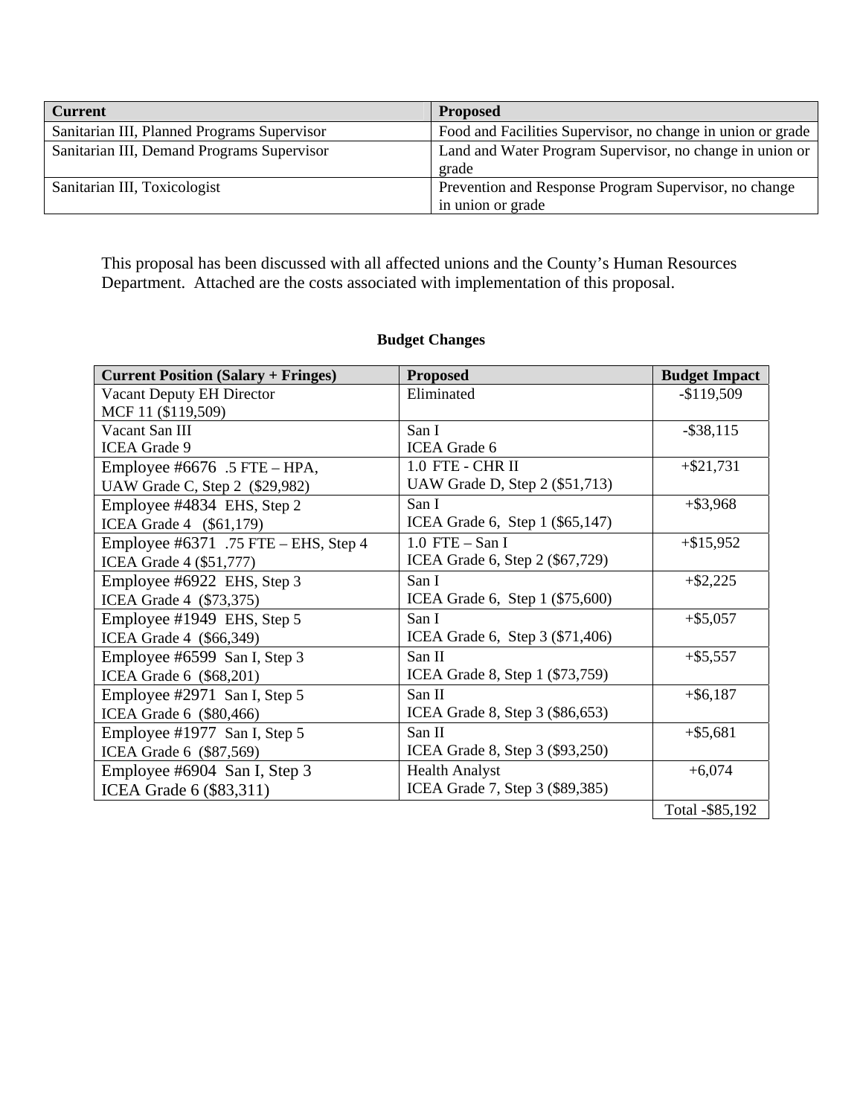| <b>Current</b>                              | <b>Proposed</b>                                             |
|---------------------------------------------|-------------------------------------------------------------|
| Sanitarian III, Planned Programs Supervisor | Food and Facilities Supervisor, no change in union or grade |
| Sanitarian III, Demand Programs Supervisor  | Land and Water Program Supervisor, no change in union or    |
|                                             | grade                                                       |
| Sanitarian III, Toxicologist                | Prevention and Response Program Supervisor, no change       |
|                                             | in union or grade                                           |

This proposal has been discussed with all affected unions and the County's Human Resources Department. Attached are the costs associated with implementation of this proposal.

## **Budget Changes**

| <b>Current Position (Salary + Fringes)</b> | <b>Proposed</b>                 | <b>Budget Impact</b> |
|--------------------------------------------|---------------------------------|----------------------|
| Vacant Deputy EH Director                  | Eliminated                      | $-$119,509$          |
| MCF 11 (\$119,509)                         |                                 |                      |
| Vacant San III                             | San I                           | $-$ \$38,115         |
| <b>ICEA Grade 9</b>                        | <b>ICEA</b> Grade 6             |                      |
| Employee #6676 .5 FTE – HPA,               | <b>1.0 FTE - CHR II</b>         | $+ $21,731$          |
| UAW Grade C, Step 2 (\$29,982)             | UAW Grade D, Step 2 (\$51,713)  |                      |
| Employee #4834 EHS, Step 2                 | San I                           | $+$ \$3,968          |
| ICEA Grade 4 (\$61,179)                    | ICEA Grade 6, Step 1 (\$65,147) |                      |
| Employee #6371 .75 FTE – EHS, Step 4       | $1.0$ FTE $-$ San I             | $+\$15,952$          |
| ICEA Grade 4 (\$51,777)                    | ICEA Grade 6, Step 2 (\$67,729) |                      |
| Employee #6922 EHS, Step 3                 | San I                           | $+ $2,225$           |
| ICEA Grade 4 (\$73,375)                    | ICEA Grade 6, Step 1 (\$75,600) |                      |
| Employee #1949 EHS, Step 5                 | San I                           | $+$ \$5,057          |
| ICEA Grade 4 (\$66,349)                    | ICEA Grade 6, Step 3 (\$71,406) |                      |
| Employee #6599 San I, Step 3               | San II                          | $+$ \$5,557          |
| ICEA Grade 6 (\$68,201)                    | ICEA Grade 8, Step 1 (\$73,759) |                      |
| Employee #2971 San I, Step 5               | San II                          | $+$ \$6,187          |
| ICEA Grade 6 (\$80,466)                    | ICEA Grade 8, Step 3 (\$86,653) |                      |
| Employee #1977 San I, Step 5               | San II                          | $+$ \$5,681          |
| ICEA Grade 6 (\$87,569)                    | ICEA Grade 8, Step 3 (\$93,250) |                      |
| Employee #6904 San I, Step 3               | <b>Health Analyst</b>           | $+6,074$             |
| ICEA Grade 6 (\$83,311)                    | ICEA Grade 7, Step 3 (\$89,385) |                      |
|                                            |                                 | Total -\$85,192      |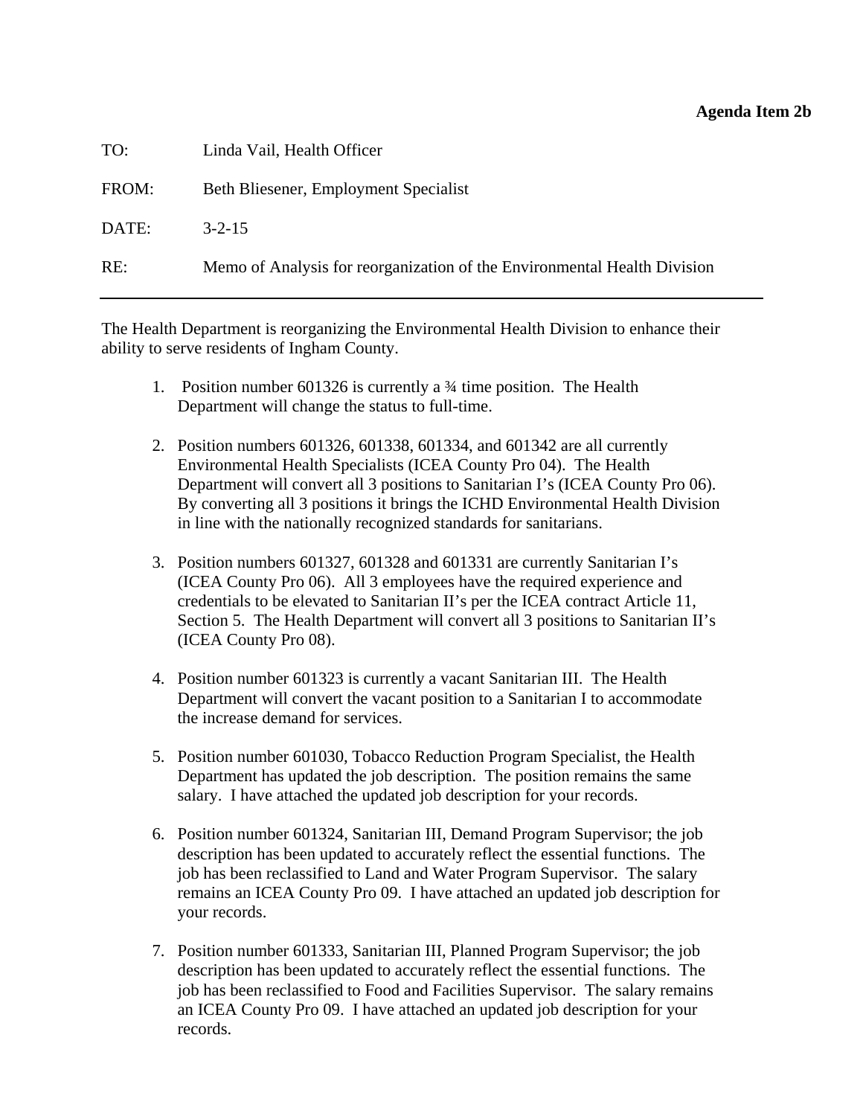## **Agenda Item 2b**

| TO:   | Linda Vail, Health Officer                                               |
|-------|--------------------------------------------------------------------------|
| FROM: | Beth Bliesener, Employment Specialist                                    |
| DATE: | $3 - 2 - 15$                                                             |
| RE:   | Memo of Analysis for reorganization of the Environmental Health Division |

The Health Department is reorganizing the Environmental Health Division to enhance their ability to serve residents of Ingham County.

- 1. Position number 601326 is currently a <sup>3</sup>/4 time position. The Health Department will change the status to full-time.
- 2. Position numbers 601326, 601338, 601334, and 601342 are all currently Environmental Health Specialists (ICEA County Pro 04). The Health Department will convert all 3 positions to Sanitarian I's (ICEA County Pro 06). By converting all 3 positions it brings the ICHD Environmental Health Division in line with the nationally recognized standards for sanitarians.
- 3. Position numbers 601327, 601328 and 601331 are currently Sanitarian I's (ICEA County Pro 06). All 3 employees have the required experience and credentials to be elevated to Sanitarian II's per the ICEA contract Article 11, Section 5. The Health Department will convert all 3 positions to Sanitarian II's (ICEA County Pro 08).
- 4. Position number 601323 is currently a vacant Sanitarian III. The Health Department will convert the vacant position to a Sanitarian I to accommodate the increase demand for services.
- 5. Position number 601030, Tobacco Reduction Program Specialist, the Health Department has updated the job description. The position remains the same salary. I have attached the updated job description for your records.
- 6. Position number 601324, Sanitarian III, Demand Program Supervisor; the job description has been updated to accurately reflect the essential functions. The job has been reclassified to Land and Water Program Supervisor. The salary remains an ICEA County Pro 09. I have attached an updated job description for your records.
- 7. Position number 601333, Sanitarian III, Planned Program Supervisor; the job description has been updated to accurately reflect the essential functions. The job has been reclassified to Food and Facilities Supervisor. The salary remains an ICEA County Pro 09. I have attached an updated job description for your records.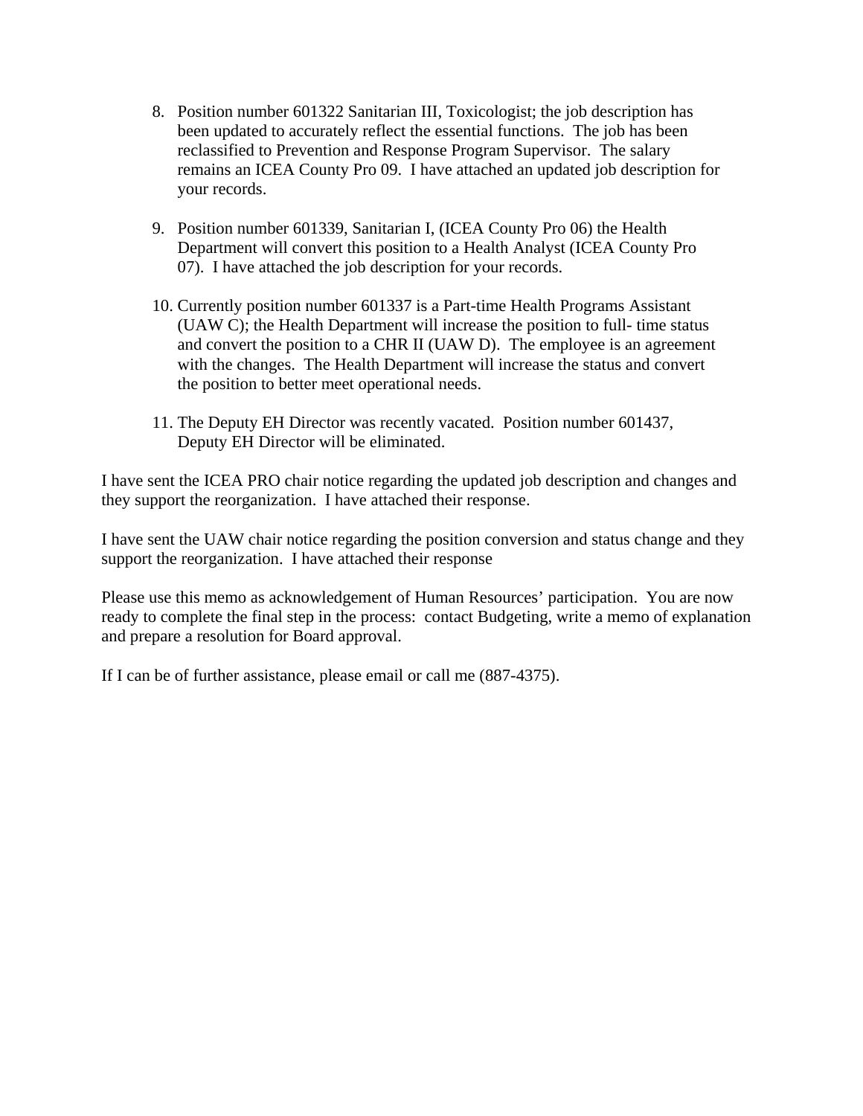- 8. Position number 601322 Sanitarian III, Toxicologist; the job description has been updated to accurately reflect the essential functions. The job has been reclassified to Prevention and Response Program Supervisor. The salary remains an ICEA County Pro 09. I have attached an updated job description for your records.
- 9. Position number 601339, Sanitarian I, (ICEA County Pro 06) the Health Department will convert this position to a Health Analyst (ICEA County Pro 07). I have attached the job description for your records.
- 10. Currently position number 601337 is a Part-time Health Programs Assistant (UAW C); the Health Department will increase the position to full- time status and convert the position to a CHR II (UAW D). The employee is an agreement with the changes. The Health Department will increase the status and convert the position to better meet operational needs.
- 11. The Deputy EH Director was recently vacated. Position number 601437, Deputy EH Director will be eliminated.

I have sent the ICEA PRO chair notice regarding the updated job description and changes and they support the reorganization. I have attached their response.

I have sent the UAW chair notice regarding the position conversion and status change and they support the reorganization. I have attached their response

Please use this memo as acknowledgement of Human Resources' participation. You are now ready to complete the final step in the process: contact Budgeting, write a memo of explanation and prepare a resolution for Board approval.

If I can be of further assistance, please email or call me (887-4375).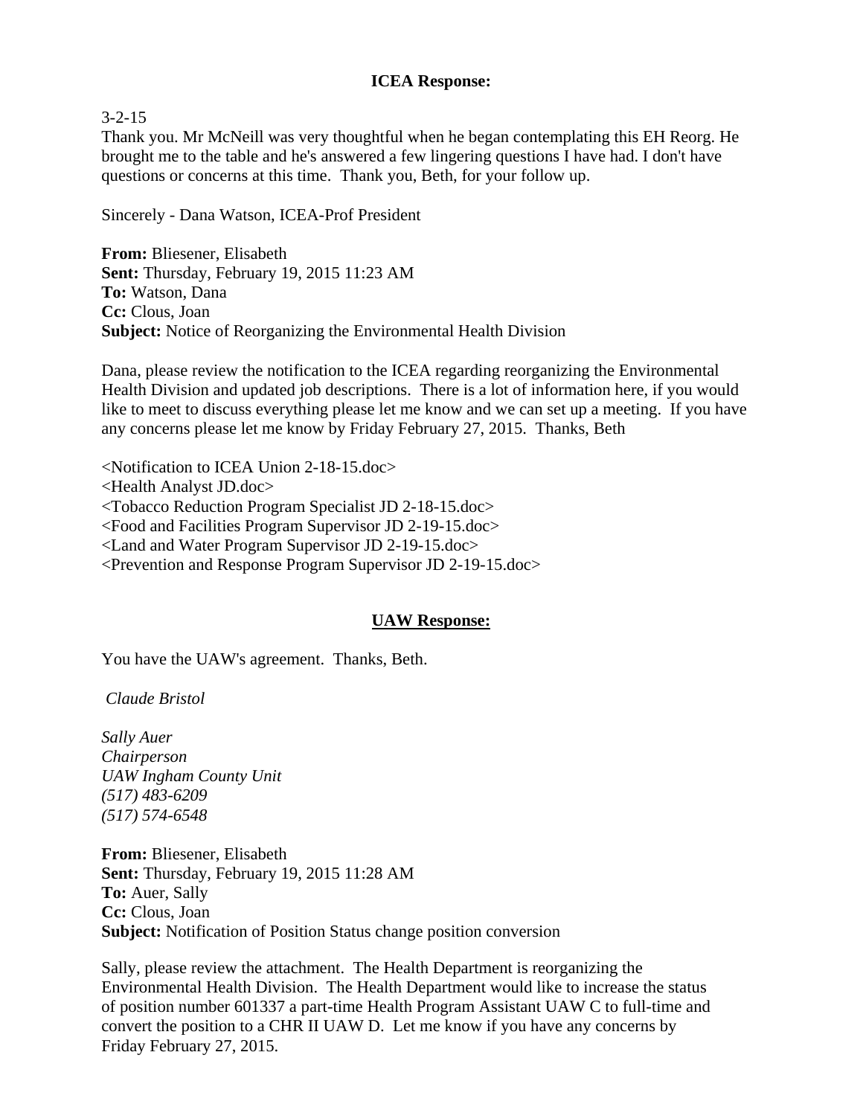## **ICEA Response:**

### $3 - 2 - 15$

Thank you. Mr McNeill was very thoughtful when he began contemplating this EH Reorg. He brought me to the table and he's answered a few lingering questions I have had. I don't have questions or concerns at this time. Thank you, Beth, for your follow up.

Sincerely - Dana Watson, ICEA-Prof President

**From:** Bliesener, Elisabeth **Sent:** Thursday, February 19, 2015 11:23 AM **To:** Watson, Dana **Cc:** Clous, Joan **Subject:** Notice of Reorganizing the Environmental Health Division

Dana, please review the notification to the ICEA regarding reorganizing the Environmental Health Division and updated job descriptions. There is a lot of information here, if you would like to meet to discuss everything please let me know and we can set up a meeting. If you have any concerns please let me know by Friday February 27, 2015. Thanks, Beth

<Notification to ICEA Union 2-18-15.doc> <Health Analyst JD.doc> <Tobacco Reduction Program Specialist JD 2-18-15.doc> <Food and Facilities Program Supervisor JD 2-19-15.doc> <Land and Water Program Supervisor JD 2-19-15.doc> <Prevention and Response Program Supervisor JD 2-19-15.doc>

## **UAW Response:**

You have the UAW's agreement. Thanks, Beth.

 *Claude Bristol* 

*Sally Auer Chairperson UAW Ingham County Unit (517) 483-6209 (517) 574-6548*

**From:** Bliesener, Elisabeth **Sent:** Thursday, February 19, 2015 11:28 AM **To:** Auer, Sally **Cc:** Clous, Joan **Subject:** Notification of Position Status change position conversion

Sally, please review the attachment. The Health Department is reorganizing the Environmental Health Division. The Health Department would like to increase the status of position number 601337 a part-time Health Program Assistant UAW C to full-time and convert the position to a CHR II UAW D. Let me know if you have any concerns by Friday February 27, 2015.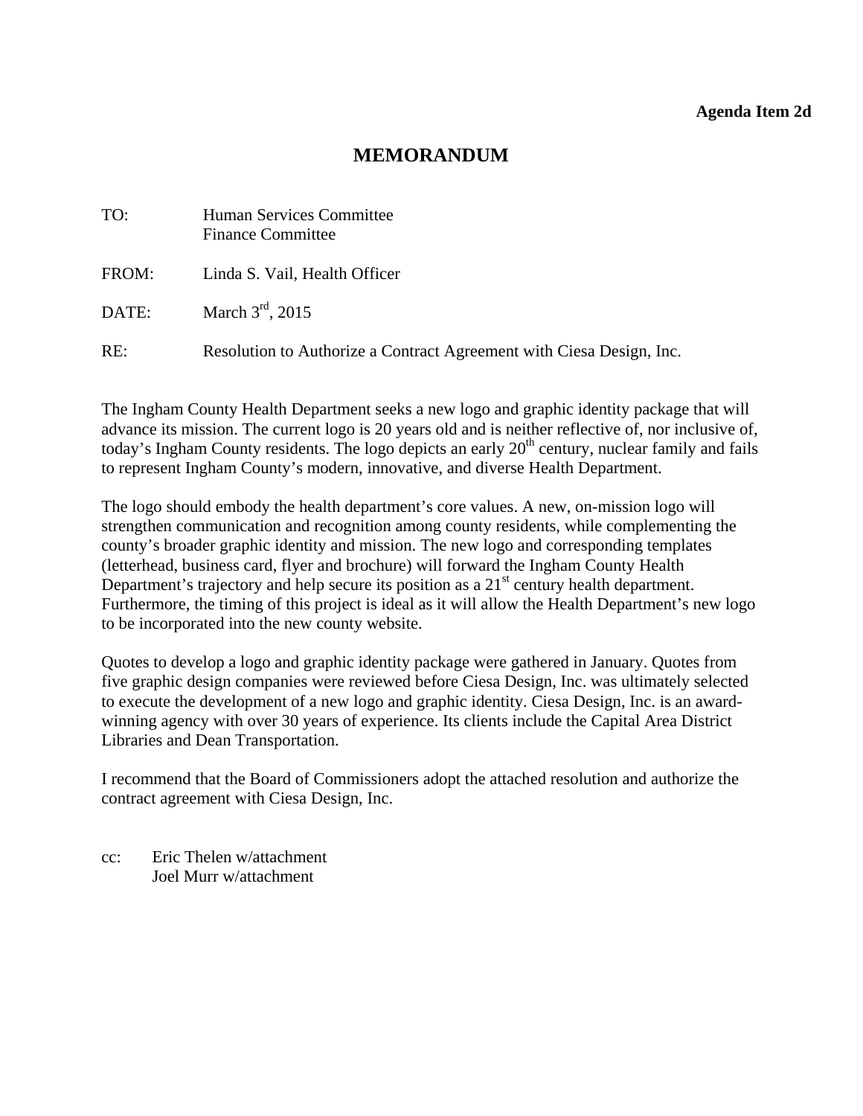### **Agenda Item 2d**

# **MEMORANDUM**

<span id="page-16-0"></span>

| TO:   | Human Services Committee<br><b>Finance Committee</b>                 |
|-------|----------------------------------------------------------------------|
| FROM: | Linda S. Vail, Health Officer                                        |
| DATE: | March $3rd$ , 2015                                                   |
| RE:   | Resolution to Authorize a Contract Agreement with Ciesa Design, Inc. |

The Ingham County Health Department seeks a new logo and graphic identity package that will advance its mission. The current logo is 20 years old and is neither reflective of, nor inclusive of, today's Ingham County residents. The logo depicts an early  $20<sup>th</sup>$  century, nuclear family and fails to represent Ingham County's modern, innovative, and diverse Health Department.

The logo should embody the health department's core values. A new, on-mission logo will strengthen communication and recognition among county residents, while complementing the county's broader graphic identity and mission. The new logo and corresponding templates (letterhead, business card, flyer and brochure) will forward the Ingham County Health Department's trajectory and help secure its position as a  $21<sup>st</sup>$  century health department. Furthermore, the timing of this project is ideal as it will allow the Health Department's new logo to be incorporated into the new county website.

Quotes to develop a logo and graphic identity package were gathered in January. Quotes from five graphic design companies were reviewed before Ciesa Design, Inc. was ultimately selected to execute the development of a new logo and graphic identity. Ciesa Design, Inc. is an awardwinning agency with over 30 years of experience. Its clients include the Capital Area District Libraries and Dean Transportation.

I recommend that the Board of Commissioners adopt the attached resolution and authorize the contract agreement with Ciesa Design, Inc.

cc: Eric Thelen w/attachment Joel Murr w/attachment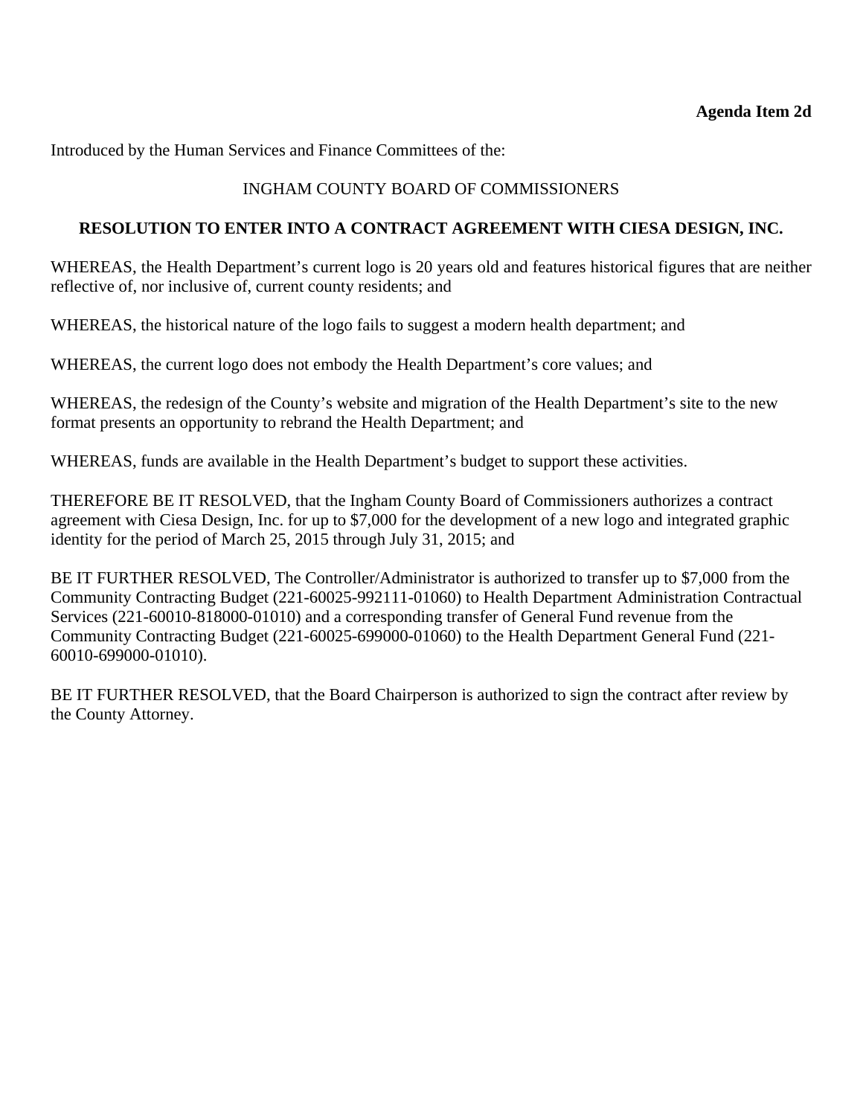Introduced by the Human Services and Finance Committees of the:

## INGHAM COUNTY BOARD OF COMMISSIONERS

#### **RESOLUTION TO ENTER INTO A CONTRACT AGREEMENT WITH CIESA DESIGN, INC.**

WHEREAS, the Health Department's current logo is 20 years old and features historical figures that are neither reflective of, nor inclusive of, current county residents; and

WHEREAS, the historical nature of the logo fails to suggest a modern health department; and

WHEREAS, the current logo does not embody the Health Department's core values; and

WHEREAS, the redesign of the County's website and migration of the Health Department's site to the new format presents an opportunity to rebrand the Health Department; and

WHEREAS, funds are available in the Health Department's budget to support these activities.

THEREFORE BE IT RESOLVED, that the Ingham County Board of Commissioners authorizes a contract agreement with Ciesa Design, Inc. for up to \$7,000 for the development of a new logo and integrated graphic identity for the period of March 25, 2015 through July 31, 2015; and

BE IT FURTHER RESOLVED, The Controller/Administrator is authorized to transfer up to \$7,000 from the Community Contracting Budget (221-60025-992111-01060) to Health Department Administration Contractual Services (221-60010-818000-01010) and a corresponding transfer of General Fund revenue from the Community Contracting Budget (221-60025-699000-01060) to the Health Department General Fund (221- 60010-699000-01010).

BE IT FURTHER RESOLVED, that the Board Chairperson is authorized to sign the contract after review by the County Attorney.